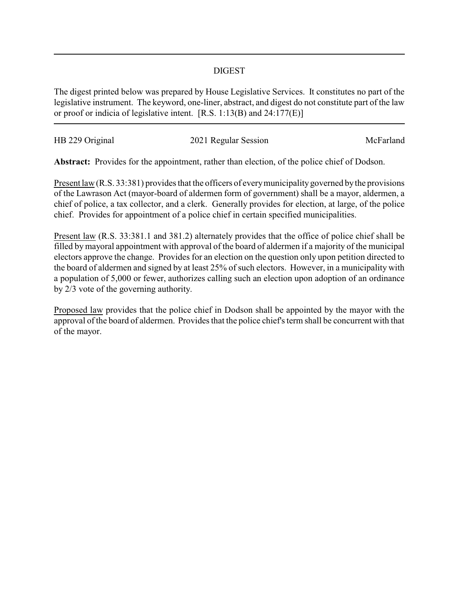## DIGEST

The digest printed below was prepared by House Legislative Services. It constitutes no part of the legislative instrument. The keyword, one-liner, abstract, and digest do not constitute part of the law or proof or indicia of legislative intent. [R.S. 1:13(B) and 24:177(E)]

| HB 229 Original | 2021 Regular Session | McFarland |
|-----------------|----------------------|-----------|
|                 |                      |           |

**Abstract:** Provides for the appointment, rather than election, of the police chief of Dodson.

Present law (R.S. 33:381) provides that the officers of every municipality governed by the provisions of the Lawrason Act (mayor-board of aldermen form of government) shall be a mayor, aldermen, a chief of police, a tax collector, and a clerk. Generally provides for election, at large, of the police chief. Provides for appointment of a police chief in certain specified municipalities.

Present law (R.S. 33:381.1 and 381.2) alternately provides that the office of police chief shall be filled by mayoral appointment with approval of the board of aldermen if a majority of the municipal electors approve the change. Provides for an election on the question only upon petition directed to the board of aldermen and signed by at least 25% of such electors. However, in a municipality with a population of 5,000 or fewer, authorizes calling such an election upon adoption of an ordinance by 2/3 vote of the governing authority.

Proposed law provides that the police chief in Dodson shall be appointed by the mayor with the approval of the board of aldermen. Provides that the police chief's term shall be concurrent with that of the mayor.